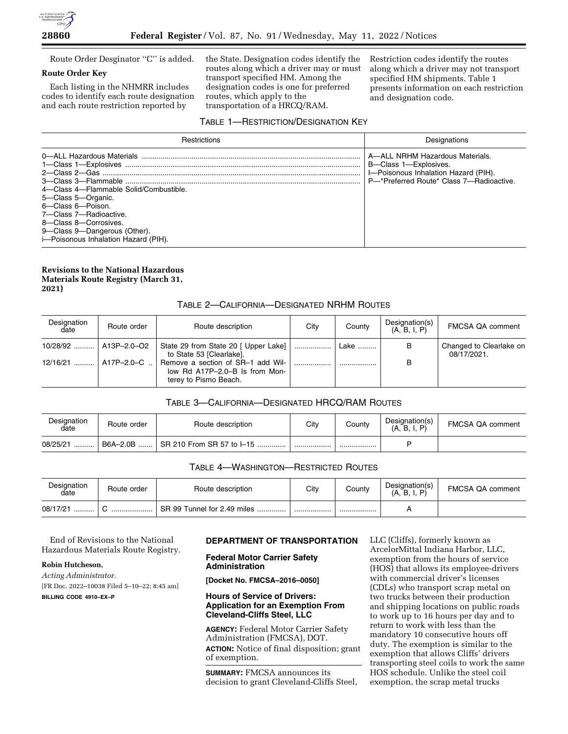

Route Order Desginator ''C'' is added.

## **Route Order Key**

Each listing in the NHMRR includes codes to identify each route designation and each route restriction reported by

the State. Designation codes identify the routes along which a driver may or must transport specified HM. Among the designation codes is one for preferred routes, which apply to the transportation of a HRCQ/RAM.

Restriction codes identify the routes along which a driver may not transport specified HM shipments. Table 1 presents information on each restriction and designation code.

### TABLE 1—RESTRICTION/DESIGNATION KEY

| <b>Restrictions</b>                                                                                                                                                                                         | Designations                                                                                                                                 |  |  |
|-------------------------------------------------------------------------------------------------------------------------------------------------------------------------------------------------------------|----------------------------------------------------------------------------------------------------------------------------------------------|--|--|
| 4—Class 4—Flammable Solid/Combustible<br>5-Class 5-Organic.<br>6-Class 6-Poison.<br>7-Class 7-Radioactive.<br>8-Class 8-Corrosives.<br>9-Class 9-Dangerous (Other).<br>i-Poisonous Inhalation Hazard (PIH). | A—ALL NRHM Hazardous Materials.<br>B-Class 1-Explosives.<br>I-Poisonous Inhalation Hazard (PIH).<br>P-*Preferred Route* Class 7-Radioactive. |  |  |

# **Revisions to the National Hazardous Materials Route Registry (March 31, 2021)**

# TABLE 2—CALIFORNIA—DESIGNATED NRHM ROUTES

| Designation<br>date     | Route order            | Route description                                                                            | City | County | Designation(s)<br>(A, B, I, P) | <b>FMCSA QA comment</b>                |
|-------------------------|------------------------|----------------------------------------------------------------------------------------------|------|--------|--------------------------------|----------------------------------------|
| 10/28/92    A13P-2.0-O2 |                        | State 29 from State 20 [ Upper Lake] [<br>to State 53 [Clearlake].                           |      | Lake   | B                              | Changed to Clearlake on<br>08/17/2021. |
|                         | 12/16/21    A17P-2.0-C | Remove a section of SR-1 add Wil-<br>low Rd A17P-2.0-B Is from Mon-<br>terey to Pismo Beach. |      |        | В                              |                                        |

## TABLE 3—CALIFORNIA—DESIGNATED HRCQ/RAM ROUTES

| Designation<br>date | Route order | Route description                     | City | Countv | Designation(s)<br>(A, B, I, I) | FMCSA QA comment |
|---------------------|-------------|---------------------------------------|------|--------|--------------------------------|------------------|
| 08/25/21<br>.       | B6A-2.0B    | $\parallel$ SR 210 From SR 57 to I-15 |      |        |                                |                  |

### TABLE 4—WASHINGTON—RESTRICTED ROUTES

| Designation<br>date | Route order | Route description                | City | County | Designation(s)<br>(A.<br>D, | <b>FMCSA QA comment</b> |
|---------------------|-------------|----------------------------------|------|--------|-----------------------------|-------------------------|
| 08/17/21<br>        | .           | SR 99 Tunnel for 2.49 miles<br>. |      |        |                             |                         |

End of Revisions to the National Hazardous Materials Route Registry.

## **Robin Hutcheson,**

*Acting Administrator.*  [FR Doc. 2022–10038 Filed 5–10–22; 8:45 am]

**BILLING CODE 4910–EX–P** 

# **DEPARTMENT OF TRANSPORTATION**

**Federal Motor Carrier Safety Administration** 

**[Docket No. FMCSA–2016–0050]** 

## **Hours of Service of Drivers: Application for an Exemption From Cleveland-Cliffs Steel, LLC**

**AGENCY:** Federal Motor Carrier Safety Administration (FMCSA), DOT. **ACTION:** Notice of final disposition; grant of exemption.

**SUMMARY:** FMCSA announces its decision to grant Cleveland-Cliffs Steel, LLC (Cliffs), formerly known as ArcelorMittal Indiana Harbor, LLC, exemption from the hours of service (HOS) that allows its employee-drivers with commercial driver's licenses (CDLs) who transport scrap metal on two trucks between their production and shipping locations on public roads to work up to 16 hours per day and to return to work with less than the mandatory 10 consecutive hours off duty. The exemption is similar to the exemption that allows Cliffs' drivers transporting steel coils to work the same HOS schedule. Unlike the steel coil exemption, the scrap metal trucks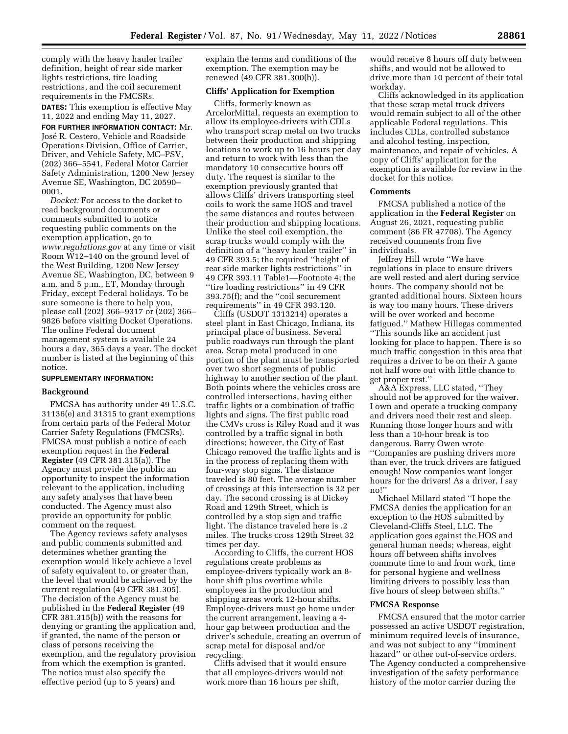comply with the heavy hauler trailer definition, height of rear side marker lights restrictions, tire loading restrictions, and the coil securement requirements in the FMCSRs.

**DATES:** This exemption is effective May 11, 2022 and ending May 11, 2027.

**FOR FURTHER INFORMATION CONTACT:** Mr. José R. Cestero, Vehicle and Roadside Operations Division, Office of Carrier, Driver, and Vehicle Safety, MC–PSV, (202) 366–5541, Federal Motor Carrier Safety Administration, 1200 New Jersey Avenue SE, Washington, DC 20590– 0001.

*Docket:* For access to the docket to read background documents or comments submitted to notice requesting public comments on the exemption application, go to *[www.regulations.gov](http://www.regulations.gov)* at any time or visit Room W12–140 on the ground level of the West Building, 1200 New Jersey Avenue SE, Washington, DC, between 9 a.m. and 5 p.m., ET, Monday through Friday, except Federal holidays. To be sure someone is there to help you, please call (202) 366–9317 or (202) 366– 9826 before visiting Docket Operations. The online Federal document management system is available 24 hours a day, 365 days a year. The docket number is listed at the beginning of this notice.

#### **SUPPLEMENTARY INFORMATION:**

#### **Background**

FMCSA has authority under 49 U.S.C. 31136(e) and 31315 to grant exemptions from certain parts of the Federal Motor Carrier Safety Regulations (FMCSRs). FMCSA must publish a notice of each exemption request in the **Federal Register** (49 CFR 381.315(a)). The Agency must provide the public an opportunity to inspect the information relevant to the application, including any safety analyses that have been conducted. The Agency must also provide an opportunity for public comment on the request.

The Agency reviews safety analyses and public comments submitted and determines whether granting the exemption would likely achieve a level of safety equivalent to, or greater than, the level that would be achieved by the current regulation (49 CFR 381.305). The decision of the Agency must be published in the **Federal Register** (49 CFR 381.315(b)) with the reasons for denying or granting the application and, if granted, the name of the person or class of persons receiving the exemption, and the regulatory provision from which the exemption is granted. The notice must also specify the effective period (up to 5 years) and

explain the terms and conditions of the exemption. The exemption may be renewed (49 CFR 381.300(b)).

#### **Cliffs' Application for Exemption**

Cliffs, formerly known as ArcelorMittal, requests an exemption to allow its employee-drivers with CDLs who transport scrap metal on two trucks between their production and shipping locations to work up to 16 hours per day and return to work with less than the mandatory 10 consecutive hours off duty. The request is similar to the exemption previously granted that allows Cliffs' drivers transporting steel coils to work the same HOS and travel the same distances and routes between their production and shipping locations. Unlike the steel coil exemption, the scrap trucks would comply with the definition of a ''heavy hauler trailer'' in 49 CFR 393.5; the required ''height of rear side marker lights restrictions'' in 49 CFR 393.11 Table1—Footnote 4; the ''tire loading restrictions'' in 49 CFR 393.75(f); and the ''coil securement requirements'' in 49 CFR 393.120.

Cliffs (USDOT 1313214) operates a steel plant in East Chicago, Indiana, its principal place of business. Several public roadways run through the plant area. Scrap metal produced in one portion of the plant must be transported over two short segments of public highway to another section of the plant. Both points where the vehicles cross are controlled intersections, having either traffic lights or a combination of traffic lights and signs. The first public road the CMVs cross is Riley Road and it was controlled by a traffic signal in both directions; however, the City of East Chicago removed the traffic lights and is in the process of replacing them with four-way stop signs. The distance traveled is 80 feet. The average number of crossings at this intersection is 32 per day. The second crossing is at Dickey Road and 129th Street, which is controlled by a stop sign and traffic light. The distance traveled here is .2 miles. The trucks cross 129th Street 32 times per day.

According to Cliffs, the current HOS regulations create problems as employee-drivers typically work an 8 hour shift plus overtime while employees in the production and shipping areas work 12-hour shifts. Employee-drivers must go home under the current arrangement, leaving a 4 hour gap between production and the driver's schedule, creating an overrun of scrap metal for disposal and/or recycling.

Cliffs advised that it would ensure that all employee-drivers would not work more than 16 hours per shift,

would receive 8 hours off duty between shifts, and would not be allowed to drive more than 10 percent of their total workday.

Cliffs acknowledged in its application that these scrap metal truck drivers would remain subject to all of the other applicable Federal regulations. This includes CDLs, controlled substance and alcohol testing, inspection, maintenance, and repair of vehicles. A copy of Cliffs' application for the exemption is available for review in the docket for this notice.

#### **Comments**

FMCSA published a notice of the application in the **Federal Register** on August 26, 2021, requesting public comment (86 FR 47708). The Agency received comments from five individuals.

Jeffrey Hill wrote ''We have regulations in place to ensure drivers are well rested and alert during service hours. The company should not be granted additional hours. Sixteen hours is way too many hours. These drivers will be over worked and become fatigued.'' Mathew Hillegas commented ''This sounds like an accident just looking for place to happen. There is so much traffic congestion in this area that requires a driver to be on their A game not half wore out with little chance to get proper rest.''

A&A Express, LLC stated, ''They should not be approved for the waiver. I own and operate a trucking company and drivers need their rest and sleep. Running those longer hours and with less than a 10-hour break is too dangerous. Barry Owen wrote ''Companies are pushing drivers more than ever, the truck drivers are fatigued enough! Now companies want longer hours for the drivers! As a driver, I say no!''

Michael Millard stated ''I hope the FMCSA denies the application for an exception to the HOS submitted by Cleveland-Cliffs Steel, LLC. The application goes against the HOS and general human needs; whereas, eight hours off between shifts involves commute time to and from work, time for personal hygiene and wellness limiting drivers to possibly less than five hours of sleep between shifts.''

#### **FMCSA Response**

FMCSA ensured that the motor carrier possessed an active USDOT registration, minimum required levels of insurance, and was not subject to any ''imminent hazard'' or other out-of-service orders. The Agency conducted a comprehensive investigation of the safety performance history of the motor carrier during the